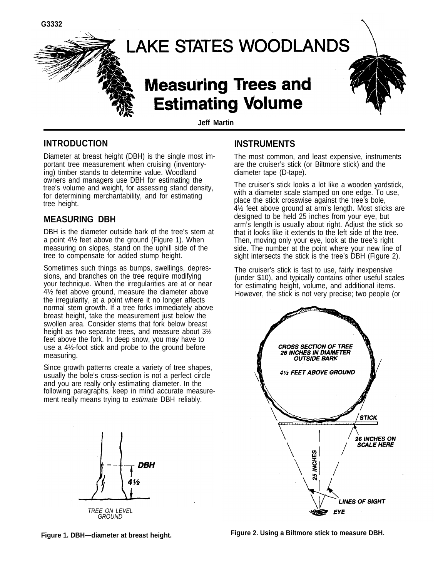

# **LAKE STATES WOODLANDS**

## **Measuring Trees and Estimating Volume**



**Jeff Martin**

#### **INTRODUCTION**

Diameter at breast height (DBH) is the single most important tree measurement when cruising (inventorying) timber stands to determine value. Woodland owners and managers use DBH for estimating the tree's volume and weight, for assessing stand density, for determining merchantability, and for estimating tree height.

### **MEASURING DBH**

DBH is the diameter outside bark of the tree's stem at a point 4½ feet above the ground (Figure 1). When measuring on slopes, stand on the uphill side of the tree to compensate for added stump height.

Sometimes such things as bumps, swellings, depressions, and branches on the tree require modifying your technique. When the irregularities are at or near 4½ feet above ground, measure the diameter above the irregularity, at a point where it no longer affects normal stem growth. If a tree forks immediately above breast height, take the measurement just below the swollen area. Consider stems that fork below breast height as two separate trees, and measure about 3½ feet above the fork. In deep snow, you may have to use a 4½-foot stick and probe to the ground before measuring.

Since growth patterns create a variety of tree shapes, usually the bole's cross-section is not a perfect circle and you are really only estimating diameter. In the following paragraphs, keep in mind accurate measurement really means trying to estimate DBH reliably.



#### **INSTRUMENTS**

The most common, and least expensive, instruments are the cruiser's stick (or Biltmore stick) and the diameter tape (D-tape).

The cruiser's stick looks a lot like a wooden yardstick, with a diameter scale stamped on one edge. To use, place the stick crosswise against the tree's bole, 4½ feet above ground at arm's length. Most sticks are designed to be held 25 inches from your eye, but arm's length is usually about right. Adjust the stick so that it looks like it extends to the left side of the tree. Then, moving only your eye, look at the tree's right side. The number at the point where your new line of sight intersects the stick is the tree's DBH (Figure 2).

The cruiser's stick is fast to use, fairly inexpensive (under \$10), and typically contains other useful scales for estimating height, volume, and additional items. However, the stick is not very precise; two people (or



**Figure 1. DBH—diameter at breast height. Figure 2. Using a Biltmore stick to measure DBH.**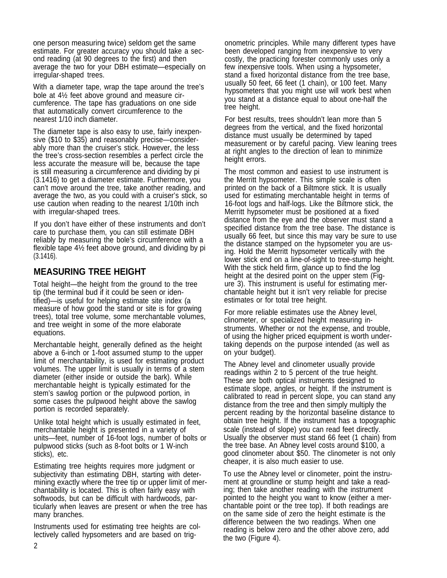one person measuring twice) seldom get the same estimate. For greater accuracy you should take a second reading (at 90 degrees to the first) and then average the two for your DBH estimate—especially on irregular-shaped trees.

With a diameter tape, wrap the tape around the tree's bole at 4½ feet above ground and measure circumference. The tape has graduations on one side that automatically convert circumference to the nearest 1/10 inch diameter.

The diameter tape is also easy to use, fairly inexpensive (\$10 to \$35) and reasonably precise—considerably more than the cruiser's stick. However, the less the tree's cross-section resembles a perfect circle the less accurate the measure will be, because the tape is still measuring a circumference and dividing by pi (3.1416) to get a diameter estimate. Furthermore, you can't move around the tree, take another reading, and average the two, as you could with a cruiser's stick, so use caution when reading to the nearest 1/10th inch with irregular-shaped trees.

If you don't have either of these instruments and don't care to purchase them, you can still estimate DBH reliably by measuring the bole's circumference with a flexible tape 4½ feet above ground, and dividing by pi (3.1416).

#### **MEASURING TREE HEIGHT**

Total height—the height from the ground to the tree tip (the terminal bud if it could be seen or identified)—is useful for helping estimate site index (a measure of how good the stand or site is for growing trees), total tree volume, some merchantable volumes, and tree weight in some of the more elaborate equations.

Merchantable height, generally defined as the height above a 6-inch or 1-foot assumed stump to the upper limit of merchantability, is used for estimating product volumes. The upper limit is usually in terms of a stem diameter (either inside or outside the bark). While merchantable height is typically estimated for the stem's sawlog portion or the pulpwood portion, in some cases the pulpwood height above the sawlog portion is recorded separately.

Unlike total height which is usually estimated in feet, merchantable height is presented in a variety of units—feet, number of 16-foot logs, number of bolts or pulpwood sticks (such as 8-foot bolts or 1 W-inch sticks), etc.

Estimating tree heights requires more judgment or subjectivity than estimating DBH, starting with determining exactly where the tree tip or upper limit of merchantability is located. This is often fairly easy with softwoods, but can be difficult with hardwoods, particularly when leaves are present or when the tree has many branches.

Instruments used for estimating tree heights are collectively called hypsometers and are based on trig-

onometric principles. While many different types have been developed ranging from inexpensive to very costly, the practicing forester commonly uses only a few inexpensive tools. When using a hypsometer, stand a fixed horizontal distance from the tree base, usually 50 feet, 66 feet (1 chain), or 100 feet. Many hypsometers that you might use will work best when you stand at a distance equal to about one-half the tree height.

For best results, trees shouldn't lean more than 5 degrees from the vertical, and the fixed horizontal distance must usually be determined by taped measurement or by careful pacing. View leaning trees at right angles to the direction of lean to minimize height errors.

The most common and easiest to use instrument is the Merritt hypsometer. This simple scale is often printed on the back of a Biltmore stick. It is usually used for estimating merchantable height in terms of 16-foot logs and half-logs. Like the Biltmore stick, the Merritt hypsometer must be positioned at a fixed distance from the eye and the observer must stand a specified distance from the tree base. The distance is usually 66 feet, but since this may vary be sure to use the distance stamped on the hypsometer you are using. Hold the Merritt hypsometer vertically with the lower stick end on a line-of-sight to tree-stump height. With the stick held firm, glance up to find the log height at the desired point on the upper stem (Figure 3). This instrument is useful for estimating merchantable height but it isn't very reliable for precise estimates or for total tree height.

For more reliable estimates use the Abney level, clinometer, or specialized height measuring instruments. Whether or not the expense, and trouble, of using the higher priced equipment is worth undertaking depends on the purpose intended (as well as on your budget).

The Abney level and clinometer usually provide readings within 2 to 5 percent of the true height. These are both optical instruments designed to estimate slope, angles, or height. If the instrument is calibrated to read in percent slope, you can stand any distance from the tree and then simply multiply the percent reading by the horizontal baseline distance to obtain tree height. If the instrument has a topographic scale (instead of slope) you can read feet directly. Usually the observer must stand 66 feet (1 chain) from the tree base. An Abney level costs around \$100, a good clinometer about \$50. The clinometer is not only cheaper, it is also much easier to use.

To use the Abney level or clinometer, point the instrument at groundline or stump height and take a reading; then take another reading with the instrument pointed to the height you want to know (either a merchantable point or the tree top). If both readings are on the same side of zero the height estimate is the difference between the two readings. When one reading is below zero and the other above zero, add the two (Figure 4).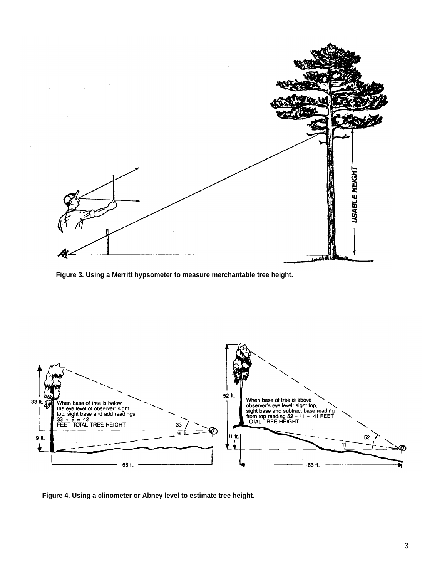

**Figure 3. Using a Merritt hypsometer to measure merchantable tree height.**



**Figure 4. Using a clinometer or Abney level to estimate tree height.**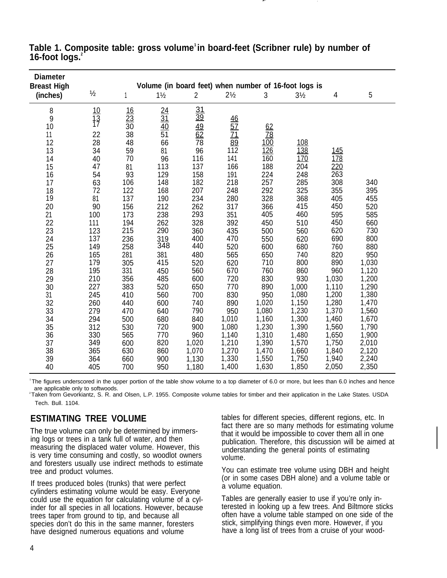| <b>Diameter</b>                |                 |            |                 |                 |                 |                                                            |                |                    |                |
|--------------------------------|-----------------|------------|-----------------|-----------------|-----------------|------------------------------------------------------------|----------------|--------------------|----------------|
| <b>Breast High</b><br>(inches) | $\frac{1}{2}$   | 1          | $1\frac{1}{2}$  | 2               | $2\frac{1}{2}$  | Volume (in board feet) when number of 16-foot logs is<br>3 | $3\frac{1}{2}$ | 4                  | 5              |
| 8                              | 10              | 16         | $\overline{24}$ | 31              |                 |                                                            |                |                    |                |
| 9                              | $\frac{13}{17}$ | 23         | 31              | $\overline{39}$ | $\frac{46}{57}$ |                                                            |                |                    |                |
| 10                             |                 | 30         | 40              | 49              |                 | 62                                                         |                |                    |                |
| 11                             | 22              | 38         | 51              | 62              | 71              | <u>78</u>                                                  |                |                    |                |
| 12                             | 28              | 48         | 66              | 78              | 89<br>112       | 100                                                        | 108            |                    |                |
| 13                             | 34<br>40        | 59<br>70   | 81              | 96<br>116       | 141             | 126<br>160                                                 | 138<br>170     | <u> 145</u><br>178 |                |
| 14                             | 47              |            | 96<br>113       | 137             | 166             | 188                                                        | 204            | 220                |                |
| 15<br>16                       | 54              | 81<br>93   | 129             | 158             | 191             | 224                                                        | 248            | 263                |                |
| 17                             | 63              | 106        | 148             | 182             | 218             | 257                                                        | 285            | 308                | 340            |
| 18                             | 72              | 122        | 168             | 207             | 248             | 292                                                        | 325            | 355                | 395            |
| 19                             | 81              | 137        | 190             | 234             | 280             | 328                                                        | 368            | 405                | 455            |
| 20                             | 90              | 156        | 212             | 262             | 317             | 366                                                        | 415            | 450                | 520            |
| 21                             | 100             | 173        | 238             | 293             | 351             | 405                                                        | 460            | 595                | 585            |
| 22                             | 111             | 194        | 262             | 328             | 392             | 450                                                        | 510            | 450                | 660            |
| 23                             | 123             | 215        | 290             | 360             | 435             | 500                                                        | 560            | 620                | 730            |
| 24                             | 137             | 236        | 319<br>348      | 400             | 470             | 550                                                        | 620            | 690                | 800            |
| 25                             | 149             | 258        |                 | 440             | 520             | 600                                                        | 680            | 760                | 880            |
| 26                             | 165             | 281        | 381             | 480             | 565             | 650                                                        | 740            | 820                | 950            |
| 27                             | 179             | 305        | 415             | 520             | 620             | 710                                                        | 800            | 890                | 1,030          |
| 28                             | 195             | 331        | 450             | 560             | 670             | 760                                                        | 860            | 960                | 1,120          |
| 29                             | 210             | 356        | 485             | 600             | 720             | 830                                                        | 930            | 1,030              | 1,200          |
| 30                             | 227             | 383        | 520             | 650             | 770             | 890                                                        | 1,000          | 1,110              | 1,290          |
| 31                             | 245             | 410        | 560             | 700             | 830             | 950                                                        | 1,080          | 1,200              | 1,380          |
| 32                             | 260             | 440        | 600             | 740             | 890             | 1,020                                                      | 1,150          | 1,280              | 1,470          |
| 33                             | 279             | 470        | 640             | 790             | 950             | 1,080                                                      | 1,230          | 1,370              | 1,560          |
| 34                             | 294<br>312      | 500        | 680<br>720      | 840<br>900      | 1,010<br>1,080  | 1,160<br>1,230                                             | 1,300<br>1,390 | 1,460<br>1,560     | 1,670<br>1,790 |
| 35<br>36                       | 330             | 530<br>565 | 770             | 960             | 1,140           | 1,310                                                      | 1,480          | 1,650              | 1,900          |
| 37                             | 349             | 600        | 820             | 1,020           | 1,210           | 1,390                                                      | 1,570          | 1,750              | 2,010          |
| 38                             | 365             | 630        | 860             | 1,070           | 1,270           | 1,470                                                      | 1,660          | 1,840              | 2,120          |
| 39                             | 364             | 660        | 900             | 1,130           | 1,330           | 1,550                                                      | 1,750          | 1,940              | 2,240          |
| 40                             | 405             | 700        | 950             | 1,180           | 1,400           | 1,630                                                      | 1,850          | 2,050              | 2,350          |

#### **Table 1. Composite table: gross volume<sup>1</sup>in board-feet (Scribner rule) by number of 16-foot logs.<sup>2</sup>**

The figures underscored in the upper portion of the table show volume to a top diameter of 6.0 or more, but lees than 6.0 inches and hence are applicable only to softwoods.

<sup>2</sup>Taken from Gevorkiantz, S. R. and Olsen, L.P. 1955. Composite volume tables for timber and their application in the Lake States. USDA Tech. Bull. 1104.

#### **ESTIMATING TREE VOLUME**

The true volume can only be determined by immersing logs or trees in a tank full of water, and then measuring the displaced water volume. However, this is very time consuming and costly, so woodlot owners and foresters usually use indirect methods to estimate tree and product volumes.

If trees produced boles (trunks) that were perfect cylinders estimating volume would be easy. Everyone could use the equation for calculating volume of a cylinder for all species in all locations. However, because trees taper from ground to tip, and because all species don't do this in the same manner, foresters have designed numerous equations and volume

tables for different species, different regions, etc. In fact there are so many methods for estimating volume that it would be impossible to cover them all in one publication. Therefore, this discussion will be aimed at understanding the general points of estimating volume.

You can estimate tree volume using DBH and height (or in some cases DBH alone) and a volume table or a volume equation.

Tables are generally easier to use if you're only interested in looking up a few trees. And Biltmore sticks often have a volume table stamped on one side of the stick, simplifying things even more. However, if you have a long list of trees from a cruise of your wood-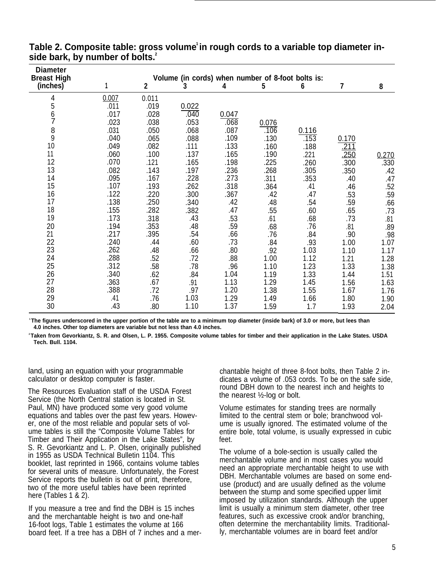| <b>Diameter</b><br><b>Breast High</b> | Volume (in cords) when number of 8-foot bolts is: |              |       |       |       |       |       |       |  |  |  |
|---------------------------------------|---------------------------------------------------|--------------|-------|-------|-------|-------|-------|-------|--|--|--|
| (inches)                              |                                                   | $\mathbf{2}$ | 3     | 4     | 5     | 6     | 7     | 8     |  |  |  |
| $\overline{4}$                        | 0.007                                             | 0.011        |       |       |       |       |       |       |  |  |  |
| 5                                     | .011                                              | .019         | 0.022 |       |       |       |       |       |  |  |  |
| $\frac{6}{7}$                         | .017                                              | .028         | .040  | 0.047 |       |       |       |       |  |  |  |
|                                       | .023                                              | .038         | .053  | .068  | 0.076 |       |       |       |  |  |  |
| 8                                     | .031                                              | .050         | .068  | .087  | .106  | 0.116 |       |       |  |  |  |
| 9                                     | .040                                              | .065         | .088  | .109  | .130  | .153  | 0.170 |       |  |  |  |
| 10                                    | .049                                              | .082         | .111  | .133  | .160  | .188  | 211   |       |  |  |  |
| 11                                    | .060                                              | .100         | .137  | .165  | .190  | .221  | .250  | 0.270 |  |  |  |
| 12                                    | .070                                              | .121         | .165  | .198  | .225  | .260  | .300  | .330  |  |  |  |
| 13                                    | .082                                              | .143         | .197  | .236  | .268  | .305  | .350  | .42   |  |  |  |
| 14                                    | .095                                              | .167         | .228  | .273  | .311  | .353  | .40   | .47   |  |  |  |
| 15                                    | .107                                              | .193         | .262  | .318  | .364  | .41   | .46   | .52   |  |  |  |
| 16                                    | .122                                              | .220         | .300  | .367  | .42   | .47   | .53   | .59   |  |  |  |
| 17                                    | .138                                              | .250         | .340  | .42   | .48   | .54   | .59   | .66   |  |  |  |
| 18                                    | .155                                              | .282         | .382  | .47   | .55   | .60   | .65   | .73   |  |  |  |
| 19                                    | .173                                              | .318         | .43   | .53   | .61   | .68   | .73   | .81   |  |  |  |
| 20                                    | .194                                              | .353         | .48   | .59   | .68   | .76   | .81   | .89   |  |  |  |
| 21                                    | .217                                              | .395         | .54   | .66   | .76   | .84   | .90   | .98   |  |  |  |
| 22                                    | .240                                              | .44          | .60   | .73   | .84   | .93   | 1.00  | 1.07  |  |  |  |
| 23                                    | .262                                              | .48          | .66   | .80   | .92   | 1.03  | 1.10  | 1.17  |  |  |  |
| 24                                    | .288                                              | .52          | .72   | .88   | 1.00  | 1.12  | 1.21  | 1.28  |  |  |  |
| 25                                    | .312                                              | .58          | .78   | .96   | 1.10  | 1.23  | 1.33  | 1.38  |  |  |  |
| 26                                    | .340                                              | .62          | .84   | 1.04  | 1.19  | 1.33  | 1.44  | 1.51  |  |  |  |
| 27                                    | .363                                              | .67          | .91   | 1.13  | 1.29  | 1.45  | 1.56  | 1.63  |  |  |  |
| 28                                    | .388                                              | .72          | .97   | 1.20  | 1.38  | 1.55  | 1.67  | 1.76  |  |  |  |
| 29                                    | .41                                               | .76          | 1.03  | 1.29  | 1.49  | 1.66  | 1.80  | 1.90  |  |  |  |
| 30                                    | .43                                               | .80          | 1.10  | 1.37  | 1.59  | 1.7   | 1.93  | 2.04  |  |  |  |

Table 2. Composite table: gross volume in rough cords to a variable top diameter in**side bark, by number of bolts.<sup>2</sup>**

**<sup>1</sup>The figures underscored in the upper portion of the table are to a minimum top diameter (inside bark) of 3.0 or more, but lees than 4.0 inches. Other top diameters are variable but not less than 4.0 inches.**

**<sup>2</sup>Taken from Gevorkiantz, S. R. and Olsen, L. P. 1955. Composite volume tables for timber and their application in the Lake States. USDA Tech. Bull. 1104.**

land, using an equation with your programmable calculator or desktop computer is faster.

The Resources Evaluation staff of the USDA Forest Service (the North Central station is located in St. Paul, MN) have produced some very good volume equations and tables over the past few years. However, one of the most reliable and popular sets of volume tables is still the "Composite Volume Tables for Timber and Their Application in the Lake States", by S. R. Gevorkiantz and L. P. Olsen, originally published in 1955 as USDA Technical Bulletin 1104. This booklet, last reprinted in 1966, contains volume tables for several units of measure. Unfortunately, the Forest Service reports the bulletin is out of print, therefore, two of the more useful tables have been reprinted here (Tables 1 & 2).

If you measure a tree and find the DBH is 15 inches and the merchantable height is two and one-half 16-foot logs, Table 1 estimates the volume at 166 board feet. If a tree has a DBH of 7 inches and a merchantable height of three 8-foot bolts, then Table 2 indicates a volume of .053 cords. To be on the safe side, round DBH down to the nearest inch and heights to the nearest ½-log or bolt.

Volume estimates for standing trees are normally limited to the central stem or bole; branchwood volume is usually ignored. The estimated volume of the entire bole, total volume, is usually expressed in cubic feet.

The volume of a bole-section is usually called the merchantable volume and in most cases you would need an appropriate merchantable height to use with DBH. Merchantable volumes are based on some enduse (product) and are usually defined as the volume between the stump and some specified upper limit imposed by utilization standards. Although the upper limit is usually a minimum stem diameter, other tree features, such as excessive crook and/or branching, often determine the merchantability limits. Traditionally, merchantable volumes are in board feet and/or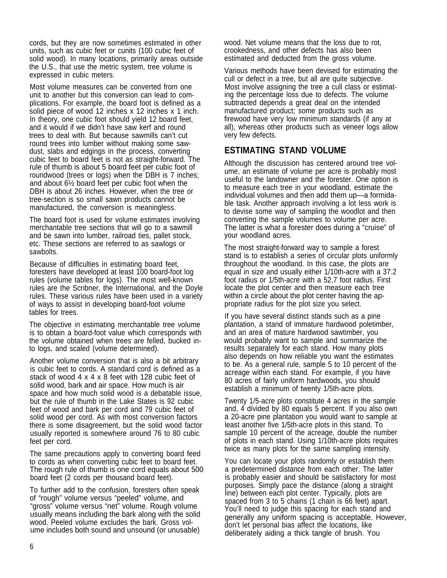cords, but they are now sometimes estimated in other units, such as cubic feet or cunits (100 cubic feet of solid wood). In many locations, primarily areas outside the U.S., that use the metric system, tree volume is expressed in cubic meters.

Most volume measures can be converted from one unit to another but this conversion can lead to complications. For example, the board foot is defined as a solid piece of wood 12 inches x 12 inches x 1 inch. In theory, one cubic foot should yield 12 board feet, and it would if we didn't have saw kerf and round trees to deal with. But because sawmills can't cut round trees into lumber without making some sawdust, slabs and edgings in the process, converting cubic feet to board feet is not as straight-forward. The rule of thumb is about 5 board feet per cubic foot of roundwood (trees or logs) when the DBH is 7 inches; and about 6½ board feet per cubic foot when the DBH is about 26 inches. However, when the tree or tree-section is so small sawn products cannot be manufactured, the conversion is meaningless.

The board foot is used for volume estimates involving merchantable tree sections that will go to a sawmill and be sawn into lumber, railroad ties, pallet stock, etc. These sections are referred to as sawlogs or sawbolts.

Because of difficulties in estimating board feet, foresters have developed at least 100 board-foot log rules (volume tables for logs). The most well-known rules are the Scribner, the International, and the Doyle rules. These various rules have been used in a variety of ways to assist in developing board-foot volume tables for trees.

The objective in estimating merchantable tree volume is to obtain a board-foot value which corresponds with the volume obtained when trees are felled, bucked into logs, and scaled (volume determined).

Another volume conversion that is also a bit arbitrary is cubic feet to cords. A standard cord is defined as a stack of wood 4 x 4 x 8 feet with 128 cubic feet of solid wood, bark and air space. How much is air space and how much solid wood is a debatable issue, but the rule of thumb in the Lake States is 92 cubic feet of wood and bark per cord and 79 cubic feet of solid wood per cord. As with most conversion factors there is some disagreement, but the solid wood factor usually reported is somewhere around 76 to 80 cubic feet per cord.

The same precautions apply to converting board feed to cords as when converting cubic feet to board feet. The rough rule of thumb is one cord equals about 500 board feet (2 cords per thousand board feet).

To further add to the confusion, foresters often speak of "rough" volume versus "peeled" volume, and "gross" volume versus "net" volume. Rough volume usually means including the bark along with the solid wood. Peeled volume excludes the bark. Gross volume includes both sound and unsound (or unusable)

wood. Net volume means that the loss due to rot, crookedness, and other defects has also been estimated and deducted from the gross volume.

Various methods have been devised for estimating the cull or defect in a tree, but all are quite subjective. Most involve assigning the tree a cull class or estimating the percentage loss due to defects. The volume subtracted depends a great deal on the intended manufactured product; some products such as firewood have very low minimum standards (if any at all), whereas other products such as veneer logs allow very few defects.

#### **ESTIMATING STAND VOLUME**

Although the discussion has centered around tree volume, an estimate of volume per acre is probably most useful to the landowner and the forester. One option is to measure each tree in your woodland, estimate the individual volumes and then add them up—a formidable task. Another approach involving a lot less work is to devise some way of sampling the woodlot and then converting the sample volumes to volume per acre. The latter is what a forester does during a "cruise" of your woodland acres.

The most straight-forward way to sample a forest stand is to establish a series of circular plots uniformly throughout the woodland. In this case, the plots are equal in size and usually either 1/10th-acre with a 37.2 foot radius or 1/5th-acre with a 52.7 foot radius. First locate the plot center and then measure each tree within a circle about the plot center having the appropriate radius for the plot size you select.

If you have several distinct stands such as a pine plantation, a stand of immature hardwood poletimber, and an area of mature hardwood sawtimber, you would probably want to sample and summarize the results separately for each stand. How many plots also depends on how reliable you want the estimates to be. As a general rule, sample 5 to 10 percent of the acreage within each stand. For example, if you have 80 acres of fairly uniform hardwoods, you should establish a minimum of twenty 1/5th-acre plots.

Twenty 1/5-acre plots constitute 4 acres in the sample and, 4 divided by 80 equals 5 percent. If you also own a 20-acre pine plantation you would want to sample at least another five 1/5th-acre plots in this stand. To sample 10 percent of the acreage, double the number of plots in each stand. Using 1/10th-acre plots requires twice as many plots for the same sampling intensity.

You can locate your plots randomly or establish them a predetermined distance from each other. The latter is probably easier and should be satisfactory for most purposes. Simply pace the distance (along a straight line) between each plot center. Typically, plots are spaced from 3 to 5 chains (1 chain is 66 feet) apart. You'll need to judge this spacing for each stand and generally any uniform spacing is acceptable. However, don't let personal bias affect the locations, like deliberately aiding a thick tangle of brush. You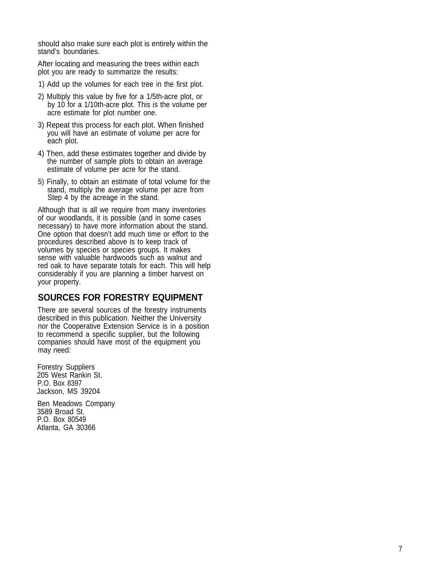should also make sure each plot is entirely within the stand's boundaries.

After locating and measuring the trees within each plot you are ready to summarize the results:

- 1) Add up the volumes for each tree in the first plot.
- 2) Multiply this value by five for a 1/5th-acre plot, or by 10 for a 1/10th-acre plot. This is the volume per acre estimate for plot number one.
- 3) Repeat this process for each plot. When finished you will have an estimate of volume per acre for each plot.
- 4) Then, add these estimates together and divide by the number of sample plots to obtain an average estimate of volume per acre for the stand.
- 5) Finally, to obtain an estimate of total volume for the stand, multiply the average volume per acre from Step 4 by the acreage in the stand.

Although that is all we require from many inventories of our woodlands, it is possible (and in some cases necessary) to have more information about the stand. One option that doesn't add much time or effort to the procedures described above is to keep track of volumes by species or species groups. It makes sense with valuable hardwoods such as walnut and red oak to have separate totals for each. This will help considerably if you are planning a timber harvest on your property.

#### **SOURCES FOR FORESTRY EQUIPMENT**

There are several sources of the forestry instruments described in this publication. Neither the University nor the Cooperative Extension Service is in a position to recommend a specific supplier, but the following companies should have most of the equipment you may need:

Forestry Suppliers 205 West Rankin St. P.O. Box 8397 Jackson, MS 39204

Ben Meadows Company 3589 Broad St. P.O. Box 80549 Atlanta, GA 30366